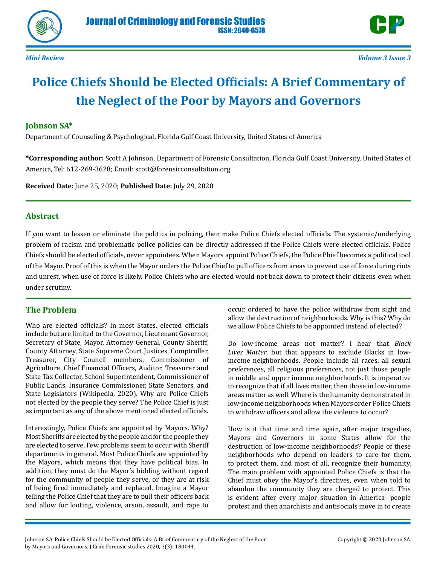



# **Police Chiefs Should be Elected Officials: A Brief Commentary of the Neglect of the Poor by Mayors and Governors**

#### **Johnson SA\***

Department of Counseling & Psychological, Florida Gulf Coast University, United States of America

**\*Corresponding author:** Scott A Johnson, Department of Forensic Consultation, Florida Gulf Coast University, United States of America, Tel: 612-269-3628; Email: scott@forensicconsultation.org

**Received Date:** June 25, 2020; **Published Date:** July 29, 2020

#### **Abstract**

If you want to lessen or eliminate the politics in policing, then make Police Chiefs elected officials. The systemic/underlying problem of racism and problematic police policies can be directly addressed if the Police Chiefs were elected officials. Police Chiefs should be elected officials, never appointees. When Mayors appoint Police Chiefs, the Police Phief becomes a political tool of the Mayor. Proof of this is when the Mayor orders the Police Chief to pull officers from areas to prevent use of force during riots and unrest, when use of force is likely. Police Chiefs who are elected would not back down to protect their citizens even when under scrutiny.

### **The Problem**

Who are elected officials? In most States, elected officials include but are limited to the Governor, Lieutenant Governor, Secretary of State, Mayor, Attorney General, County Sheriff, County Attorney, State Supreme Court Justices, Comptroller, Treasurer, City Council members, Commissioner of Agriculture, Chief Financial Officers, Auditor, Treasurer and State Tax Collector, School Superintendent, Commissioner of Public Lands, Insurance Commissioner, State Senators, and State Legislators (Wikipedia, 2020). Why are Police Chiefs not elected by the people they serve? The Police Chief is just as important as any of the above mentioned elected officials.

Interestingly, Police Chiefs are appointed by Mayors. Why? Most Sheriffs are elected by the people and for the people they are elected to serve. Few problems seem to occur with Sheriff departments in general. Most Police Chiefs are appointed by the Mayors, which means that they have political bias. In addition, they must do the Mayor's bidding without regard for the community of people they serve, or they are at risk of being fired immediately and replaced. Imagine a Mayor telling the Police Chief that they are to pull their officers back and allow for looting, violence, arson, assault, and rape to

occur, ordered to have the police withdraw from sight and allow the destruction of neighborhoods. Why is this? Why do we allow Police Chiefs to be appointed instead of elected?

Do low-income areas not matter? I hear that *Black Lives Matter*, but that appears to exclude Blacks in lowincome neighborhoods. People include all races, all sexual preferences, all religious preferences, not just those people in middle and upper income neighborhoods. It is imperative to recognize that if all lives matter, then those in low-income areas matter as well. Where is the humanity demonstrated in low-income neighborhoods when Mayors order Police Chiefs to withdraw officers and allow the violence to occur?

How is it that time and time again, after major tragedies, Mayors and Governors in some States allow for the destruction of low-income neighborhoods? People of these neighborhoods who depend on leaders to care for them, to protect them, and most of all, recognize their humanity. The main problem with appointed Police Chiefs is that the Chief must obey the Mayor's directives, even when told to abandon the community they are charged to protect. This is evident after every major situation in America- people protest and then anarchists and antisocials move in to create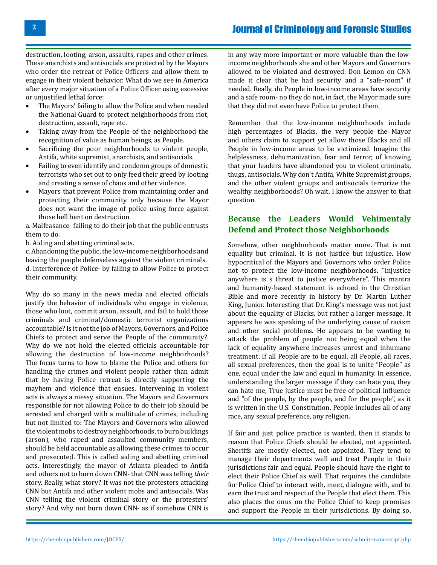destruction, looting, arson, assaults, rapes and other crimes. These anarchists and antisocials are protected by the Mayors who order the retreat of Police Officers and allow them to engage in their violent behavior. What do we see in America after every major situation of a Police Officer using excessive or unjustified lethal force:<br>• The Mayors' failing to

- The Mayors' failing to allow the Police and when needed the National Guard to protect neighborhoods from riot, destruction, assault, rape etc.
- Taking away from the People of the neighborhood the recognition of value as human beings, as People.
- Sacrificing the poor neighborhoods to violent people, Antifa, white supremist, anarchists, and antisocials.
- Failing to even identify and condemn groups of domestic terrorists who set out to only feed their greed by looting and creating a sense of chaos and other violence.
- Mayors that prevent Police from maintaining order and protecting their community only because the Mayor does not want the image of police using force against those hell bent on destruction.

a. Malfeasance- failing to do their job that the public entrusts them to do.

b. Aiding and abetting criminal acts.

c. Abandoning the public, the low-income neighborhoods and leaving the people defenseless against the violent criminals. d. Interference of Police- by failing to allow Police to protect their community.

Why do so many in the news media and elected officials justify the behavior of individuals who engage in violence, those who loot, commit arson, assault, and fail to hold those criminals and criminal/domestic terrorist organizations accountable? Is it not the job of Mayors, Governors, and Police Chiefs to protect and serve the People of the community?. Why do we not hold the elected officials accountable for allowing the destruction of low-income neighborhoods? The focus turns to how to blame the Police and others for handling the crimes and violent people rather than admit that by having Police retreat is directly supporting the mayhem and violence that ensues. Intervening in violent acts is always a messy situation. The Mayors and Governors responsible for not allowing Police to do their job should be arrested and charged with a multitude of crimes, including but not limited to: The Mayors and Governors who allowed the violent mobs to destroy neighborhoods, to burn buildings (arson), who raped and assaulted community members, should be held accountable as allowing these crimes to occur and prosecuted. This is called aiding and abetting criminal acts. Interestingly, the mayor of Atlanta pleaded to Antifa and others not to burn down CNN- that CNN was telling *their*  story. Really, what story? It was not the protesters attacking CNN but Antifa and other violent mobs and antisocials. Was CNN telling the violent criminal story or the protesters' story? And why not burn down CNN- as if somehow CNN is

in any way more important or more valuable than the lowincome neighborhoods she and other Mayors and Governors allowed to be violated and destroyed. Don Lemon on CNN made it clear that he had security and a "safe-room" if needed. Really, do People in low-income areas have security and a safe room- no they do not, in fact, the Mayor made sure that they did not even have Police to protect them.

Remember that the low-income neighborhoods include high percentages of Blacks, the very people the Mayor and others claim to support yet allow those Blacks and all People in low-income areas to be victimized. Imagine the helplessness, dehumanization, fear and terror, of knowing that your leaders have abandoned you to violent criminals, thugs, antisocials. Why don't Antifa, White Supremist groups, and the other violent groups and antisocials terrorize the wealthy neighborhoods? Oh wait, I know the answer to that question.

## **Because the Leaders Would Vehimentaly Defend and Protect those Neighborhoods**

Somehow, other neighborhoods matter more. That is not equality but criminal. It is not justice but injustice. How hypocritical of the Mayors and Governors who order Police not to protect the low-income neighborhoods. "Injustice anywhere is s threat to justice everywhere". This mantra and humanity-based statement is echoed in the Christian Bible and more recently in history by Dr. Martin Luther King, Junior. Interesting that Dr. King's message was not just about the equality of Blacks, but rather a larger message. It appears he was speaking of the underlying cause of racism and other social problems. He appears to be wanting to attack the problem of people not being equal when the lack of equality anywhere increases unrest and inhumane treatment. If all People are to be equal, all People, all races, all sexual preferences, then the goal is to unite "People" as one, equal under the law and equal in humanity. In essence, understanding the larger message if they can hate you, they can hate me, True justice must be free of political influence and "of the people, by the people, and for the people", as it is written in the U.S. Constitution. People includes all of any race, any sexual preference, any religion.

If fair and just police practice is wanted, then it stands to reason that Police Chiefs should be elected, not appointed. Sheriffs are mostly elected, not appointed. They tend to manage their departments well and treat People in their jurisdictions fair and equal. People should have the right to elect their Police Chief as well. That requires the candidate for Police Chief to interact with, meet, dialogue with, and to earn the trust and respect of the People that elect them. This also places the onus on the Police Chief to keep promises and support the People in their jurisdictions. By doing so,